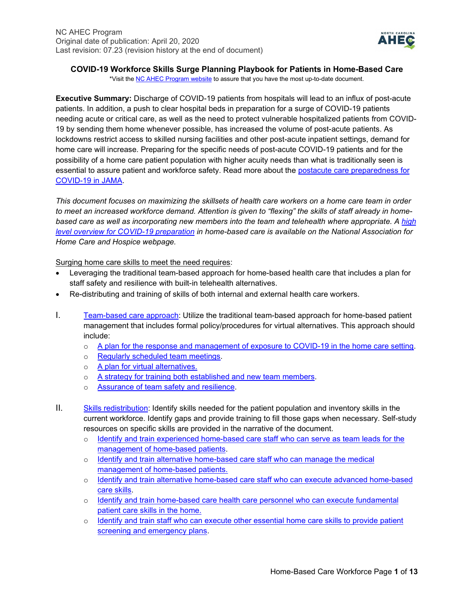

# **COVID-19 Workforce Skills Surge Planning Playbook for Patients in Home-Based Care**

\*Visit the **NC AHEC Program website** to assure that you have the most up-to-date document.

**Executive Summary:** Discharge of COVID-19 patients from hospitals will lead to an influx of post-acute patients. In addition, a push to clear hospital beds in preparation for a surge of COVID-19 patients needing acute or critical care, as well as the need to protect vulnerable hospitalized patients from COVID-19 by sending them home whenever possible, has increased the volume of post-acute patients. As lockdowns restrict access to skilled nursing facilities and other post-acute inpatient settings, demand for home care will increase. Preparing for the specific needs of post-acute COVID-19 patients and for the possibility of a home care patient population with higher acuity needs than what is traditionally seen is essential to assure patient and workforce safety. Read more about the postacute care preparedness for [COVID-19 in JAMA.](https://jamanetwork.com/journals/jama/fullarticle/2763818)

*This document focuses on maximizing the skillsets of health care workers on a home care team in order*  to meet an increased workforce demand. Attention is given to "flexing" the skills of staff already in home*based care as well as incorporating new members into the team and telehealth where appropriate. A [high](https://www.nahc.org/wp-content/uploads/2020/03/COVID-19-Home-Care-Hospice-Checklist.pdf)  [level overview for COVID-19 preparation](https://www.nahc.org/wp-content/uploads/2020/03/COVID-19-Home-Care-Hospice-Checklist.pdf) in home-based care is available on the National Association for Home Care and Hospice webpage.*

Surging home care skills to meet the need requires:

- Leveraging the traditional team-based approach for home-based health care that includes a plan for staff safety and resilience with built-in telehealth alternatives.
- Re-distributing and training of skills of both internal and external health care workers.
- I. [Team-based care approach:](#page-1-0) Utilize the traditional team-based approach for home-based patient management that includes formal policy/procedures for virtual alternatives. This approach should include:
	- o [A plan for the response and management of exposure to COVID-19 in the home care setting.](#page-1-1)
	- o [Regularly scheduled team meetings.](#page-1-2)
	- o [A plan for virtual alternatives.](#page-1-3)
	- o [A strategy for training both established and new team members.](#page-3-0)
	- o [Assurance of team safety and resilience.](#page-3-1)
- II. [Skills redistribution:](#page-5-0) Identify skills needed for the patient population and inventory skills in the current workforce. Identify gaps and provide training to fill those gaps when necessary. Self-study resources on specific skills are provided in the narrative of the document.
	- o [Identify and train experienced home-based care staff who can serve as team leads for the](#page-5-1)  [management of home-based patients.](#page-5-1)
	- o [Identify and train alternative home-based care staff who can manage the medical](#page-6-0)  [management of home-based patients.](#page-6-0)
	- o [Identify and train alternative home-based care staff who can execute advanced home-based](#page-6-1)  [care skills.](#page-6-1)
	- o Identify and train home-based care [health care personnel who can execute fundamental](#page-9-0)  [patient care skills in the home.](#page-9-0)
	- o [Identify and train staff who can execute other essential home care skills to provide patient](#page-11-0)  [screening and emergency plans.](#page-11-0)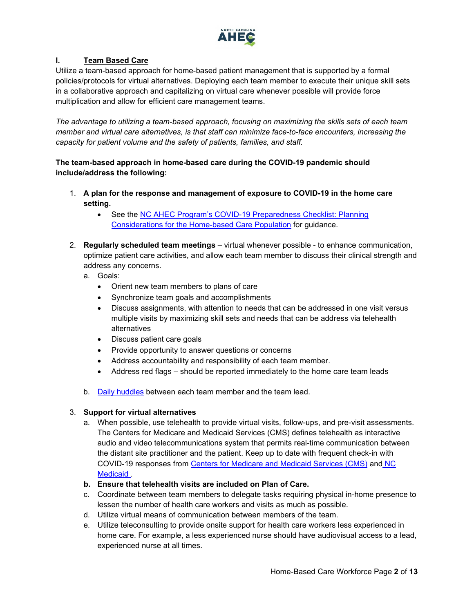

# <span id="page-1-0"></span>**I. Team Based Care**

Utilize a team-based approach for home-based patient management that is supported by a formal policies/protocols for virtual alternatives. Deploying each team member to execute their unique skill sets in a collaborative approach and capitalizing on virtual care whenever possible will provide force multiplication and allow for efficient care management teams.

*The advantage to utilizing a team-based approach, focusing on maximizing the skills sets of each team member and virtual care alternatives, is that staff can minimize face-to-face encounters, increasing the capacity for patient volume and the safety of patients, families, and staff.*

**The team-based approach in home-based care during the COVID-19 pandemic should include/address the following:**

- <span id="page-1-1"></span>1. **A plan for the response and management of exposure to COVID-19 in the home care setting.**
	- See the [NC AHEC Program's COVID-19 Preparedness Checklist:](https://public.3.basecamp.com/p/zgHYZWS8fN4uc4csx7BVbHNu) Planning [Considerations for the Home-based Care Population](https://public.3.basecamp.com/p/zgHYZWS8fN4uc4csx7BVbHNu) for guidance.
- <span id="page-1-2"></span>2. **Regularly scheduled team meetings** – virtual whenever possible - to enhance communication, optimize patient care activities, and allow each team member to discuss their clinical strength and address any concerns.
	- a. Goals:
		- Orient new team members to plans of care
		- Synchronize team goals and accomplishments
		- Discuss assignments, with attention to needs that can be addressed in one visit versus multiple visits by maximizing skill sets and needs that can be address via telehealth alternatives
		- Discuss patient care goals
		- Provide opportunity to answer questions or concerns
		- Address accountability and responsibility of each team member.
		- Address red flags should be reported immediately to the home care team leads
	- b. [Daily huddles](https://nexusipe.org/informing/resource-center/huddle-coaching) between each team member and the team lead.

# <span id="page-1-3"></span>3. **Support for virtual alternatives**

- a. When possible, use telehealth to provide virtual visits, follow-ups, and pre-visit assessments. The Centers for Medicare and Medicaid Services (CMS) defines telehealth as interactive audio and video telecommunications system that permits real-time communication between the distant site practitioner and the patient. Keep up to date with frequent check-in with COVID-19 responses from [Centers for Medicare and Medicaid Services \(CMS\)](https://www.cms.gov/About-CMS/Agency-Information/Emergency/EPRO/Current-Emergencies/Current-Emergencies-page) and [NC](https://medicaid.ncdhhs.gov/about-us/covid-19-guidance-and-resources/providers/covid-19-special-medicaid-bulletins)  [Medicaid .](https://medicaid.ncdhhs.gov/about-us/covid-19-guidance-and-resources/providers/covid-19-special-medicaid-bulletins)
- <span id="page-1-4"></span>**b. Ensure that telehealth visits are included on Plan of Care.**
- c. Coordinate between team members to delegate tasks requiring physical in-home presence to lessen the number of health care workers and visits as much as possible.
- d. Utilize virtual means of communication between members of the team.
- e. Utilize teleconsulting to provide onsite support for health care workers less experienced in home care. For example, a less experienced nurse should have audiovisual access to a lead, experienced nurse at all times.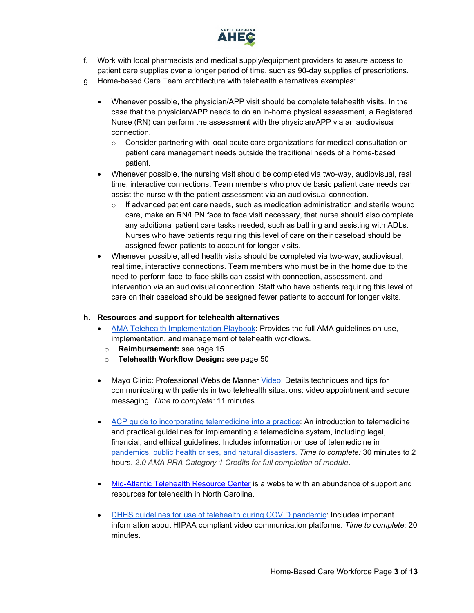

- f. Work with local pharmacists and medical supply/equipment providers to assure access to patient care supplies over a longer period of time, such as 90-day supplies of prescriptions.
- g. Home-based Care Team architecture with telehealth alternatives examples:
	- Whenever possible, the physician/APP visit should be complete telehealth visits. In the case that the physician/APP needs to do an in-home physical assessment, a Registered Nurse (RN) can perform the assessment with the physician/APP via an audiovisual connection.
		- $\circ$  Consider partnering with local acute care organizations for medical consultation on patient care management needs outside the traditional needs of a home-based patient.
	- Whenever possible, the nursing visit should be completed via two-way, audiovisual, real time, interactive connections. Team members who provide basic patient care needs can assist the nurse with the patient assessment via an audiovisual connection.
		- $\circ$  If advanced patient care needs, such as medication administration and sterile wound care, make an RN/LPN face to face visit necessary, that nurse should also complete any additional patient care tasks needed, such as bathing and assisting with ADLs. Nurses who have patients requiring this level of care on their caseload should be assigned fewer patients to account for longer visits.
	- Whenever possible, allied health visits should be completed via two-way, audiovisual, real time, interactive connections. Team members who must be in the home due to the need to perform face-to-face skills can assist with connection, assessment, and intervention via an audiovisual connection. Staff who have patients requiring this level of care on their caseload should be assigned fewer patients to account for longer visits.

# **h. Resources and support for telehealth alternatives**

- [AMA Telehealth Implementation Playbook:](https://www.ama-assn.org/system/files/2020-04/ama-telehealth-playbook.pdf?utm_source=Selligent&utm_medium=email&utm_term=%25m%25d%25y&utm_content=OTHER_PE_COVID19_MEM_040920&utm_campaign=PROMO_PPOS_Lifestyle_Unengaged_030820&utm_uid=12944228&utm_effort=&utm_h) Provides the full AMA guidelines on use, implementation, and management of telehealth workflows.
- o **Reimbursement:** see page 15
- o **Telehealth Workflow Design:** see page 50
- Mayo Clinic: Professional Webside Manner [Video:](https://www.youtube.com/watch?v=Gx2jrT7pm4U) Details techniques and tips for communicating with patients in two telehealth situations: video appointment and secure messaging*. Time to complete:* 11 minutes
- [ACP guide to incorporating telemedicine into a practice:](https://assets.acponline.org/telemedicine/scormcontent/?&_ga=2.77804497.471511880.1585395081-831279411.1585395081#/) An introduction to telemedicine and practical guidelines for implementing a telemedicine system, including legal, financial, and ethical guidelines. Includes information on use of telemedicine in [pandemics, public health crises, and natural disasters.](https://assets.acponline.org/telemedicine/scormcontent/?&_ga=2.77804497.471511880.1585395081-831279411.1585395081#/lessons/AZVkZp6hXdtRT3kSz1C8W6gRxT_3nQtt) *Time to complete:* 30 minutes to 2 hours. *2.0 AMA PRA Category 1 Credits for full completion of module*.
- [Mid-Atlantic Telehealth Resource Center](https://www.matrc.org/) is a website with an abundance of support and resources for telehealth in North Carolina.
- [DHHS guidelines for use of telehealth during COVID pandemic:](https://www.hhs.gov/hipaa/for-professionals/special-topics/emergency-preparedness/notification-enforcement-discretion-telehealth/index.html) Includes important information about HIPAA compliant video communication platforms. *Time to complete:* 20 minutes.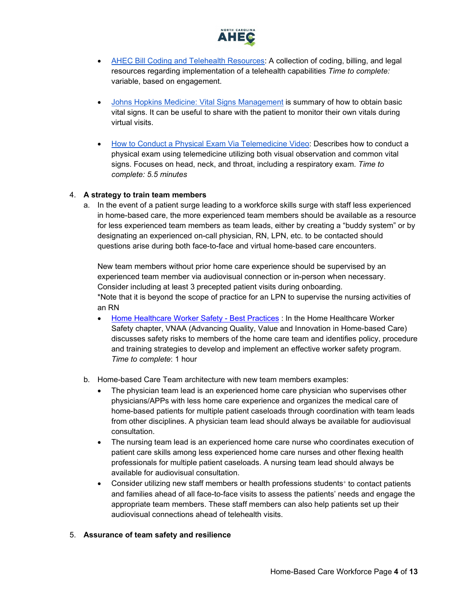

- [AHEC Bill Coding and Telehealth Resources:](https://www.ncahec.net/?s=telehealth&submit=Submit) A collection of coding, billing, and legal resources regarding implementation of a telehealth capabilities *Time to complete:*  variable, based on engagement.
- [Johns Hopkins Medicine: Vital Signs Management](https://www.hopkinsmedicine.org/health/conditions-and-diseases/vital-signs-body-temperature-pulse-rate-respiration-rate-blood-pressure) is summary of how to obtain basic vital signs. It can be useful to share with the patient to monitor their own vitals during virtual visits.
- [How to Conduct a Physical Exam Via Telemedicine Video:](https://www.youtube.com/watch?v=4hRObfNyDvc) Describes how to conduct a physical exam using telemedicine utilizing both visual observation and common vital signs. Focuses on head, neck, and throat, including a respiratory exam. *Time to complete: 5.5 minutes*

### <span id="page-3-0"></span>4. **A strategy to train team members**

a. In the event of a patient surge leading to a workforce skills surge with staff less experienced in home-based care, the more experienced team members should be available as a resource for less experienced team members as team leads, either by creating a "buddy system" or by designating an experienced on-call physician, RN, LPN, etc. to be contacted should questions arise during both face-to-face and virtual home-based care encounters.

New team members without prior home care experience should be supervised by an experienced team member via audiovisual connection or in-person when necessary. Consider including at least 3 precepted patient visits during onboarding. \*Note that it is beyond the scope of practice for an LPN to supervise the nursing activities of an RN

- [Home Healthcare Worker Safety -](https://www.gotostage.com/channel/8721967628402427404/recording/c6292667435240fb820ac18f0bb15eb2/watch?source=CHANNEL) Best Practices : In the Home Healthcare Worker Safety chapter, VNAA (Advancing Quality, Value and Innovation in Home-based Care) discusses safety risks to members of the home care team and identifies policy, procedure and training strategies to develop and implement an effective worker safety program. *Time to complete*: 1 hour
- b. Home-based Care Team architecture with new team members examples:
	- The physician team lead is an experienced home care physician who supervises other physicians/APPs with less home care experience and organizes the medical care of home-based patients for multiple patient caseloads through coordination with team leads from other disciplines. A physician team lead should always be available for audiovisual consultation.
	- The nursing team lead is an experienced home care nurse who coordinates execution of patient care skills among less experienced home care nurses and other flexing health professionals for multiple patient caseloads. A nursing team lead should always be available for audiovisual consultation.
	- Consider utilizing new staff members or health professions students<sup>+</sup> to contact patients and families ahead of all face-to-face visits to assess the patients' needs and engage the appropriate team members. These staff members can also help patients set up their audiovisual connections ahead of telehealth visits.

#### <span id="page-3-1"></span>5. **Assurance of team safety and resilience**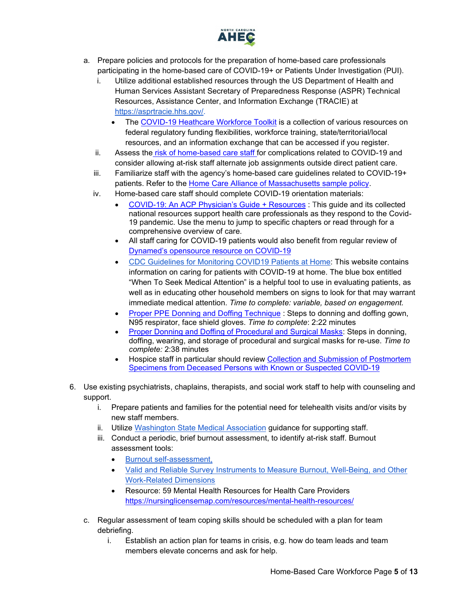

- a. Prepare policies and protocols for the preparation of home-based care professionals participating in the home-based care of COVID-19+ or Patients Under Investigation (PUI).
	- i. Utilize additional established resources through the US Department of Health and Human Services Assistant Secretary of Preparedness Response (ASPR) Technical Resources, Assistance Center, and Information Exchange (TRACIE) at [https://asprtracie.hhs.gov/.](https://asprtracie.hhs.gov/)
		- The [COVID-19 Heathcare Workforce Toolkit](https://asprtracie.hhs.gov/Workforce-Virtual-Toolkit) is a collection of various resources on federal regulatory funding flexibilities, workforce training, state/territorial/local resources, and an information exchange that can be accessed if you register.
	- ii. Assess the [risk of home-based care staff f](https://www.cdc.gov/coronavirus/2019-ncov/need-extra-precautions/people-at-higher-risk.html)or complications related to COVID-19 and consider allowing at-risk staff alternate job assignments outside direct patient care.
	- iii. Familiarize staff with the agency's home-based care guidelines related to COVID-19+ patients. Refer to the [Home Care Alliance of Massachusetts sample policy.](https://www.nahc.org/wp-content/uploads/2020/04/HCAM-Home-Health-Guidance-for-COVID-19-Admissions.pdf)
	- iv. Home-based care staff should complete COVID-19 orientation materials:
		- [COVID-19: An ACP Physician's Guide + Resources](https://assets.acponline.org/coronavirus/scormcontent/?&_ga=2.5648691.1012314021.1585845467-1073402165.1585845467#/) : This guide and its collected national resources support health care professionals as they respond to the Covid-19 pandemic. Use the menu to jump to specific chapters or read through for a comprehensive overview of care.
		- All staff caring for COVID-19 patients would also benefit from regular review of [Dynamed's opensource resource](https://www.dynamed.com/condition/covid-19-novel-coronavirus#GUID-5EDD59BC-2C0D-412E-8DAB-3F3D214D7406) on COVID-19
		- [CDC Guidelines for Monitoring COVID19 Patients at Home:](https://www.cdc.gov/coronavirus/2019-ncov/if-you-are-sick/care-for-someone.html) This website contains information on caring for patients with COVID-19 at home. The blue box entitled "When To Seek Medical Attention" is a helpful tool to use in evaluating patients, as well as in educating other household members on signs to look for that may warrant immediate medical attention. *Time to complete: variable, based on engagement.*
		- [Proper PPE Donning and Doffing Technique](https://www.youtube.com/watch?v=_lU9tUXhR_0&feature=youtu.be) : Steps to donning and doffing gown, N95 respirator, face shield gloves. *Time to complete*: 2:22 minutes
		- [Proper Donning and Doffing of Procedural and Surgical Masks:](https://www.youtube.com/watch?v=z-5RYKLYvaw) Steps in donning, doffing, wearing, and storage of procedural and surgical masks for re-use. *Time to complete:* 2:38 minutes
		- Hospice staff in particular should review Collection and Submission of Postmortem [Specimens from Deceased Persons with Known or Suspected COVID-19](https://www.cdc.gov/coronavirus/2019-ncov/hcp/guidance-postmortem-specimens.html)
- 6. Use existing psychiatrists, chaplains, therapists, and social work staff to help with counseling and support.
	- i. Prepare patients and families for the potential need for telehealth visits and/or visits by new staff members.
	- ii. Utilize [Washington State Medical Association](https://wsma.org/WSMA/Resources/COVID-19/Care_for_the_Caregiver_During_COVID-19_Outbreak/care_for_the_caregiver_during_covid_19_outbreak.aspx) guidance for supporting staff.
	- iii. Conduct a periodic, brief burnout assessment, to identify at-risk staff. Burnout assessment tools:
		- [Burnout self-assessment,](https://wellmd.stanford.edu/test-yourself.html)
		- [Valid and Reliable Survey Instruments to Measure Burnout, Well-Being, and Other](https://nam.edu/valid-reliable-survey-instruments-measure-burnout-well-work-related-dimensions/)  [Work-Related Dimensions](https://nam.edu/valid-reliable-survey-instruments-measure-burnout-well-work-related-dimensions/)
		- Resource: 59 Mental Health Resources for Health Care Providers <https://nursinglicensemap.com/resources/mental-health-resources/>
	- c. Regular assessment of team coping skills should be scheduled with a plan for team debriefing.
		- i. Establish an action plan for teams in crisis, e.g. how do team leads and team members elevate concerns and ask for help.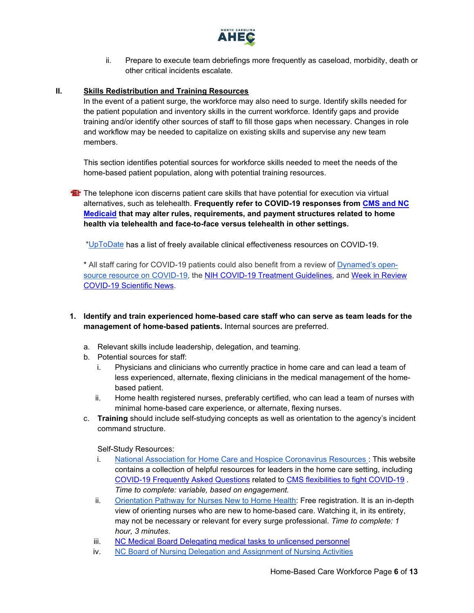

ii. Prepare to execute team debriefings more frequently as caseload, morbidity, death or other critical incidents escalate.

### <span id="page-5-0"></span>**II. Skills Redistribution and Training Resources**

In the event of a patient surge, the workforce may also need to surge. Identify skills needed for the patient population and inventory skills in the current workforce. Identify gaps and provide training and/or identify other sources of staff to fill those gaps when necessary. Changes in role and workflow may be needed to capitalize on existing skills and supervise any new team members.

This section identifies potential sources for workforce skills needed to meet the needs of the home-based patient population, along with potential training resources.

**The telephone icon discerns patient care skills that have potential for execution via virtual** alternatives, such as telehealth. **Frequently refer to COVID-19 responses from [CMS and NC](#page-1-4)  [Medicaid](#page-1-4) that may alter rules, requirements, and payment structures related to home health via telehealth and face-to-face versus telehealth in other settings.**

[\\*UpToDate](https://www.uptodate.com/home/covid-19-access) has a list of freely available clinical effectiveness resources on COVID-19.

\* All staff caring for COVID-19 patients could also benefit from a review of [Dynamed's open](https://www.dynamed.com/condition/covid-19-novel-coronavirus#GUID-5EDD59BC-2C0D-412E-8DAB-3F3D214D7406)[source resource on COVID-19,](https://www.dynamed.com/condition/covid-19-novel-coronavirus#GUID-5EDD59BC-2C0D-412E-8DAB-3F3D214D7406) the [NIH COVID-19 Treatment Guidelines,](https://covid19treatmentguidelines.nih.gov/) and [Week in Review](https://www.ncahec.net/covid-19/training-and-literature-for-health-care-professionals/)  [COVID-19 Scientific News.](https://www.ncahec.net/covid-19/training-and-literature-for-health-care-professionals/)

- <span id="page-5-1"></span>**1. Identify and train experienced home-based care staff who can serve as team leads for the management of home-based patients.** Internal sources are preferred.
	- a. Relevant skills include leadership, delegation, and teaming.
	- b. Potential sources for staff:
		- i. Physicians and clinicians who currently practice in home care and can lead a team of less experienced, alternate, flexing clinicians in the medical management of the homebased patient.
		- ii. Home health registered nurses, preferably certified, who can lead a team of nurses with minimal home-based care experience, or alternate, flexing nurses.
	- c. **Training** should include self-studying concepts as well as orientation to the agency's incident command structure.

Self-Study Resources:

- i. [National Association for Home Care and Hospice Coronavirus Resources :](https://www.nahc.org/resources-services/coronavirus-resources/) This website contains a collection of helpful resources for leaders in the home care setting, including [COVID-19 Frequently Asked Questions](https://www.nahc.org/covid19faqs/) related to [CMS flexibilities to fight COVID-19](https://www.nahc.org/wp-content/uploads/2020/04/Home-Health-Agencies_-CMS-Flexibilities-to-Fight-COVID-19-COVID-Home-Health-agencies.pdf) . *Time to complete: variable, based on engagement.*
- ii. [Orientation Pathway for Nurses New to Home Health:](https://www.gotostage.com/channel/8721967628402427404/recording/211e338ee57643c692908d83a74c2589/watch?source=CHANNEL) Free registration. It is an in-depth view of orienting nurses who are new to home-based care. Watching it, in its entirety, may not be necessary or relevant for every surge professional. *Time to complete: 1 hour, 3 minutes.*
- iii. [NC Medical Board Delegating medical tasks to unlicensed personnel](https://www.ncmedboard.org/resources-information/professional-resources/publications/forum-newsletter/article/delegating-medical-tasks-to-unlicensed-personnel)
- iv. [NC Board of Nursing Delegation and Assignment of Nursing Activities](https://www.ncbon.com/vdownloads/position-statements-decision-trees/delegation-and-assignment-of-nursing-activities.pdf)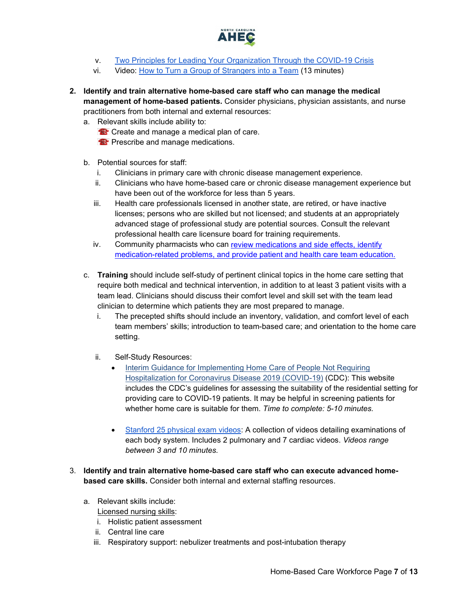

- v. [Two Principles for Leading Your Organization Through the COVID-19 Crisis](https://insight.kellogg.northwestern.edu/article/two-principles-leading-organization-covid-19-crisis)
- vi. Video: [How to Turn a Group of Strangers into a Team](https://www.ted.com/talks/amy_edmondson_how_to_turn_a_group_of_strangers_into_a_team) (13 minutes)
- <span id="page-6-0"></span>**2. Identify and train alternative home-based care staff who can manage the medical management of home-based patients.** Consider physicians, physician assistants, and nurse practitioners from both internal and external resources:
	- a. Relevant skills include ability to:
		- **<sup>12</sup>** Create and manage a medical plan of care.
		- **Prescribe and manage medications.**
	- b. Potential sources for staff:
		- i. Clinicians in primary care with chronic disease management experience.
		- ii. Clinicians who have home-based care or chronic disease management experience but have been out of the workforce for less than 5 years.
		- iii. Health care professionals licensed in another state, are retired, or have inactive licenses; persons who are skilled but not licensed; and students at an appropriately advanced stage of professional study are potential sources. Consult the relevant professional health care licensure board for training requirements.
		- iv. Community pharmacists who can [review medications and side effects, identify](https://journals.lww.com/homehealthcarenurseonline/Fulltext/2013/02000/The_Role_of_a_Pharmacist_on_the_Home_Care_Team__A.6.aspx)  [medication-related problems, and provide patient and health care team education.](https://journals.lww.com/homehealthcarenurseonline/Fulltext/2013/02000/The_Role_of_a_Pharmacist_on_the_Home_Care_Team__A.6.aspx)
	- c. **Training** should include self-study of pertinent clinical topics in the home care setting that require both medical and technical intervention, in addition to at least 3 patient visits with a team lead. Clinicians should discuss their comfort level and skill set with the team lead clinician to determine which patients they are most prepared to manage.
		- i. The precepted shifts should include an inventory, validation, and comfort level of each team members' skills; introduction to team-based care; and orientation to the home care setting.
		- ii. Self-Study Resources:
			- [Interim Guidance for Implementing Home Care of People Not Requiring](https://www.cdc.gov/coronavirus/2019-ncov/hcp/guidance-home-care.html)  [Hospitalization for Coronavirus Disease 2019 \(COVID-19\)](https://www.cdc.gov/coronavirus/2019-ncov/hcp/guidance-home-care.html) (CDC): This website includes the CDC's guidelines for assessing the suitability of the residential setting for providing care to COVID-19 patients. It may be helpful in screening patients for whether home care is suitable for them. *Time to complete: 5-10 minutes.*
			- [Stanford 25 physical exam videos:](https://stanfordmedicine25.stanford.edu/videos.html) A collection of videos detailing examinations of each body system. Includes 2 pulmonary and 7 cardiac videos. *Videos range between 3 and 10 minutes.*
- <span id="page-6-1"></span>3. **Identify and train alternative home-based care staff who can execute advanced homebased care skills.** Consider both internal and external staffing resources.
	- a. Relevant skills include: Licensed nursing skills:
		- i. Holistic patient assessment
		- ii. Central line care
		- iii. Respiratory support: nebulizer treatments and post-intubation therapy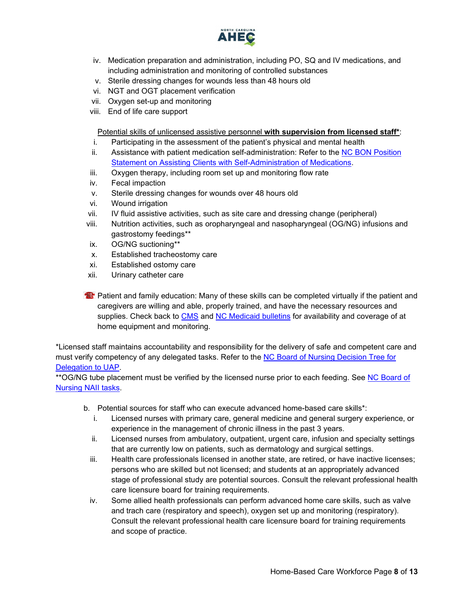

- iv. Medication preparation and administration, including PO, SQ and IV medications, and including administration and monitoring of controlled substances
- v. Sterile dressing changes for wounds less than 48 hours old
- vi. NGT and OGT placement verification
- vii. Oxygen set-up and monitoring
- viii. End of life care support

Potential skills of unlicensed assistive personnel **with supervision from licensed staff\***:

- i. Participating in the assessment of the patient's physical and mental health ii. Assistance with patient medication self-administration: Refer to the NC BON Position [Statement on Assisting Clients with Self-Administration of Medications.](https://www.ncbon.com/vdownloads/position-statements-decision-trees/assisting-clients-with-self-admin-of-med.pdf)
- iii. Oxygen therapy, including room set up and monitoring flow rate
- iv. Fecal impaction
- v. Sterile dressing changes for wounds over 48 hours old
- vi. Wound irrigation
- vii. IV fluid assistive activities, such as site care and dressing change (peripheral)
- viii. Nutrition activities, such as oropharyngeal and nasopharyngeal (OG/NG) infusions and gastrostomy feedings\*\*
- ix. OG/NG suctioning\*\*
- x. Established tracheostomy care
- xi. Established ostomy care
- xii. Urinary catheter care
- **Patient and family education: Many of these skills can be completed virtually if the patient and** caregivers are willing and able, properly trained, and have the necessary resources and supplies. Check back to [CMS](https://www.cms.gov/About-CMS/Agency-Information/Emergency/EPRO/Current-Emergencies/Current-Emergencies-page) and [NC Medicaid bulletins](https://medicaid.ncdhhs.gov/about-us/covid-19-guidance-and-resources/providers/covid-19-special-medicaid-bulletins) for availability and coverage of at home equipment and monitoring.

\*Licensed staff maintains accountability and responsibility for the delivery of safe and competent care and must verify competency of any delegated tasks. Refer to the [NC Board of Nursing Decision Tree for](https://www.ncbon.com/vdownloads/position-statements-decision-trees/decision-tree-delegation-to-uap.pdf)  [Delegation to UAP.](https://www.ncbon.com/vdownloads/position-statements-decision-trees/decision-tree-delegation-to-uap.pdf)

\*\*OG/NG tube placement must be verified by the licensed nurse prior to each feeding. See NC Board of [Nursing NAII tasks.](https://www.ncbon.com/practice-nurse-aides-nurse-aide-ii-tasks)

- b. Potential sources for staff who can execute advanced home-based care skills\*:
	- i. Licensed nurses with primary care, general medicine and general surgery experience, or experience in the management of chronic illness in the past 3 years.
	- ii. Licensed nurses from ambulatory, outpatient, urgent care, infusion and specialty settings that are currently low on patients, such as dermatology and surgical settings.
	- iii. Health care professionals licensed in another state, are retired, or have inactive licenses; persons who are skilled but not licensed; and students at an appropriately advanced stage of professional study are potential sources. Consult the relevant professional health care licensure board for training requirements.
	- iv. Some allied health professionals can perform advanced home care skills, such as valve and trach care (respiratory and speech), oxygen set up and monitoring (respiratory). Consult the relevant professional health care licensure board for training requirements and scope of practice.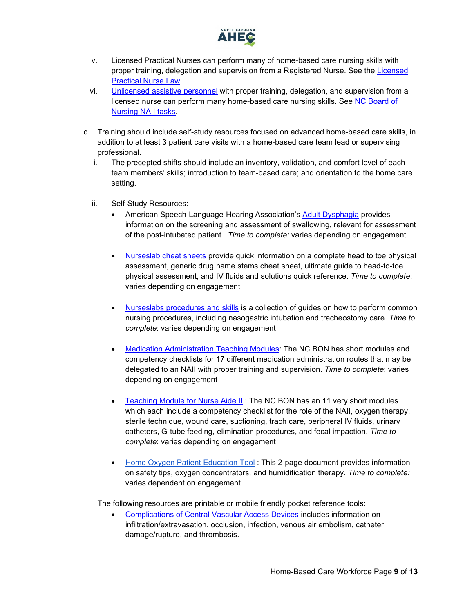

- v. Licensed Practical Nurses can perform many of home-based care nursing skills with proper training, delegation and supervision from a Registered Nurse. See the [Licensed](https://www4.ncleg.net/enactedlegislation/statutes/html/bysection/chapter_90/gs_90-171.20.html)  [Practical Nurse Law.](https://www4.ncleg.net/enactedlegislation/statutes/html/bysection/chapter_90/gs_90-171.20.html)
- vi. [Unlicensed assistive personnel](https://www.ncbon.com/practice-nurse-aides-information-rules) with proper training, delegation, and supervision from a licensed nurse can perform many home-based care nursing skills. See [NC Board of](https://www.ncbon.com/practice-nurse-aides-nurse-aide-ii-tasks)  [Nursing NAII tasks.](https://www.ncbon.com/practice-nurse-aides-nurse-aide-ii-tasks)
- c. Training should include self-study resources focused on advanced home-based care skills, in addition to at least 3 patient care visits with a home-based care team lead or supervising professional.
	- i. The precepted shifts should include an inventory, validation, and comfort level of each team members' skills; introduction to team-based care; and orientation to the home care setting.
	- ii. Self-Study Resources:
		- American Speech-Language-Hearing Association's [Adult Dysphagia](https://www.asha.org/PRPSpecificTopic.aspx?folderid=8589942550§ion=Assessment) provides information on the screening and assessment of swallowing, relevant for assessment of the post-intubated patient. *Time to complete:* varies depending on engagement
		- [Nurseslab cheat sheets p](https://nurseslabs.com/tag/cheat-sheets/)rovide quick information on a complete head to toe physical assessment, generic drug name stems cheat sheet, ultimate guide to head-to-toe physical assessment, and IV fluids and solutions quick reference. *Time to complete*: varies depending on engagement
		- [Nurseslabs procedures and skills](https://nurseslabs.com/category/nursing-notes/fundamentals-of-nursing/nursing-procedures/) is a collection of guides on how to perform common nursing procedures, including nasogastric intubation and tracheostomy care. *Time to complete*: varies depending on engagement
		- [Medication Administration Teaching Modules:](https://www.ncbon.com/education-unlicensed-assistive-personnel-medication-administration-teaching-modules) The NC BON has short modules and competency checklists for 17 different medication administration routes that may be delegated to an NAII with proper training and supervision. *Time to complete*: varies depending on engagement
		- [Teaching Module for Nurse Aide II](https://www.ncbon.com/education-unlicensed-assistive-personnel-teaching-modules-for-nurse-aide-ii-tasks) : The NC BON has an 11 very short modules which each include a competency checklist for the role of the NAII, oxygen therapy, sterile technique, wound care, suctioning, trach care, peripheral IV fluids, urinary catheters, G-tube feeding, elimination procedures, and fecal impaction. *Time to complete*: varies depending on engagement
		- Home Oxygen [Patient Education Tool](https://cmetoolkit.com/wp-content/uploads/What-You-Should-Know-About-Home-Oxygen-Therapy.pdf) : This 2-page document provides information on safety tips, oxygen concentrators, and humidification therapy. *Time to complete:*  varies dependent on engagement

The following resources are printable or mobile friendly pocket reference tools:

• [Complications of Central Vascular Access Devices](https://www.nursingcenter.com/clinical-resources/nursing-pocket-cards/complications-of-central-vascular-access-devices) includes information on infiltration/extravasation, occlusion, infection, venous air embolism, catheter damage/rupture, and thrombosis.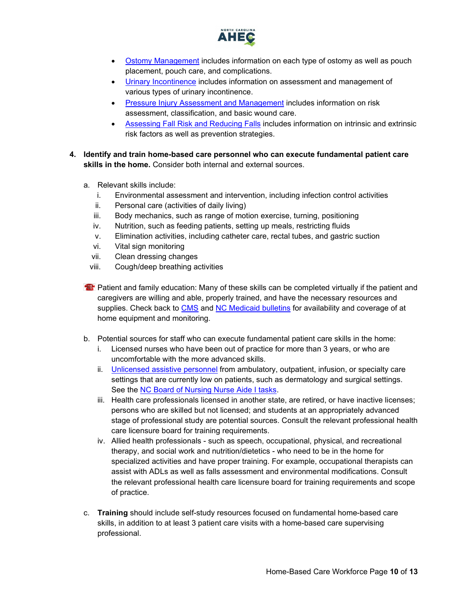

- [Ostomy Management](https://www.nursingcenter.com/clinical-resources/nursing-pocket-cards/ostomy-management) includes information on each type of ostomy as well as pouch placement, pouch care, and complications.
- [Urinary Incontinence](https://www.nursingcenter.com/clinical-resources/nursing-pocket-cards/urinary-incontinence) includes information on assessment and management of various types of urinary incontinence.
- [Pressure Injury Assessment and Management](https://www.nursingcenter.com/clinical-resources/nursing-pocket-cards/pressure-injury-assessment-and-management) includes information on risk assessment, classification, and basic wound care.
- [Assessing Fall Risk and Reducing Falls](https://www.nursingcenter.com/clinical-resources/nursing-pocket-cards/assessing-fall-risk-and-reducing-falls) includes information on intrinsic and extrinsic risk factors as well as prevention strategies.
- <span id="page-9-0"></span>**4. Identify and train home-based care personnel who can execute fundamental patient care skills in the home.** Consider both internal and external sources.
	- a. Relevant skills include:
		- i. Environmental assessment and intervention, including infection control activities
		- ii. Personal care (activities of daily living)
		- iii. Body mechanics, such as range of motion exercise, turning, positioning
		- iv. Nutrition, such as feeding patients, setting up meals, restricting fluids
		- v. Elimination activities, including catheter care, rectal tubes, and gastric suction
		- vi. Vital sign monitoring
		- vii. Clean dressing changes
		- viii. Cough/deep breathing activities
	- **Patient and family education: Many of these skills can be completed virtually if the patient and** caregivers are willing and able, properly trained, and have the necessary resources and supplies. Check back to [CMS](https://www.cms.gov/About-CMS/Agency-Information/Emergency/EPRO/Current-Emergencies/Current-Emergencies-page) and [NC Medicaid bulletins](https://medicaid.ncdhhs.gov/about-us/covid-19-guidance-and-resources/providers/covid-19-special-medicaid-bulletins) for availability and coverage of at home equipment and monitoring.
	- b. Potential sources for staff who can execute fundamental patient care skills in the home:
		- i. Licensed nurses who have been out of practice for more than 3 years, or who are uncomfortable with the more advanced skills.
		- ii. [Unlicensed assistive personnel](https://www.ncbon.com/practice-nurse-aides-information-rules) from ambulatory, outpatient, infusion, or specialty care settings that are currently low on patients, such as dermatology and surgical settings. See the [NC Board of Nursing](https://www.ncbon.com/practice-nurse-aides-nurse-aide-i-tasks) Nurse Aide I tasks.
		- iii. Health care professionals licensed in another state, are retired, or have inactive licenses; persons who are skilled but not licensed; and students at an appropriately advanced stage of professional study are potential sources. Consult the relevant professional health care licensure board for training requirements.
		- iv. Allied health professionals such as speech, occupational, physical, and recreational therapy, and social work and nutrition/dietetics - who need to be in the home for specialized activities and have proper training. For example, occupational therapists can assist with ADLs as well as falls assessment and environmental modifications. Consult the relevant professional health care licensure board for training requirements and scope of practice.
	- c. **Training** should include self-study resources focused on fundamental home-based care skills, in addition to at least 3 patient care visits with a home-based care supervising professional.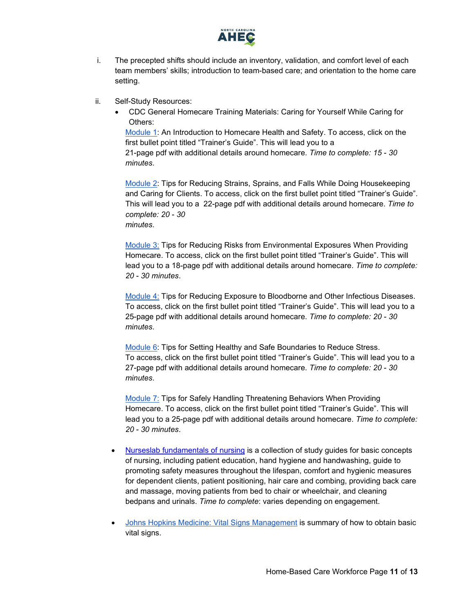

- i. The precepted shifts should include an inventory, validation, and comfort level of each team members' skills; introduction to team-based care; and orientation to the home care setting.
- ii. Self-Study Resources:
	- CDC General Homecare Training Materials: Caring for Yourself While Caring for Others:

[Module 1:](https://www.cdc.gov/niosh/docs/2015-102/module1.html) An Introduction to Homecare Health and Safety. To access, click on the first bullet point titled "Trainer's Guide". This will lead you to a 21-page pdf with additional details around homecare. *Time to complete: 15 - 30 minutes*.

[Module 2:](https://www.cdc.gov/niosh/docs/2015-102/module2.html) Tips for Reducing Strains, Sprains, and Falls While Doing Housekeeping and Caring for Clients. To access, click on the first bullet point titled "Trainer's Guide". This will lead you to a 22-page pdf with additional details around homecare. *Time to complete: 20 - 30 minutes*.

[Module 3:](https://www.cdc.gov/niosh/docs/2015-102/module3.html) Tips for Reducing Risks from Environmental Exposures When Providing Homecare. To access, click on the first bullet point titled "Trainer's Guide". This will lead you to a 18-page pdf with additional details around homecare. *Time to complete: 20 - 30 minutes*.

[Module 4:](https://www.cdc.gov/niosh/docs/2015-102/module4.html) Tips for Reducing Exposure to Bloodborne and Other Infectious Diseases. To access, click on the first bullet point titled "Trainer's Guide". This will lead you to a 25-page pdf with additional details around homecare. *Time to complete: 20 - 30 minutes*.

[Module 6:](https://www.cdc.gov/niosh/docs/2015-102/module6.html) Tips for Setting Healthy and Safe Boundaries to Reduce Stress. To access, click on the first bullet point titled "Trainer's Guide". This will lead you to a 27-page pdf with additional details around homecare. *Time to complete: 20 - 30 minutes*.

[Module 7:](https://www.cdc.gov/niosh/docs/2015-102/module6.html) Tips for Safely Handling Threatening Behaviors When Providing Homecare. To access, click on the first bullet point titled "Trainer's Guide". This will lead you to a 25-page pdf with additional details around homecare. *Time to complete: 20 - 30 minutes*.

- [Nurseslab fundamentals of nursing](https://nurseslabs.com/category/nursing-notes/fundamentals-of-nursing/) is a collection of study guides for basic concepts of nursing, including patient education, hand hygiene and handwashing, guide to promoting safety measures throughout the lifespan, comfort and hygienic measures for dependent clients, patient positioning, hair care and combing, providing back care and massage, moving patients from bed to chair or wheelchair, and cleaning bedpans and urinals. *Time to complete*: varies depending on engagement.
- [Johns Hopkins Medicine: Vital Signs Management](https://www.hopkinsmedicine.org/health/conditions-and-diseases/vital-signs-body-temperature-pulse-rate-respiration-rate-blood-pressure) is summary of how to obtain basic vital signs.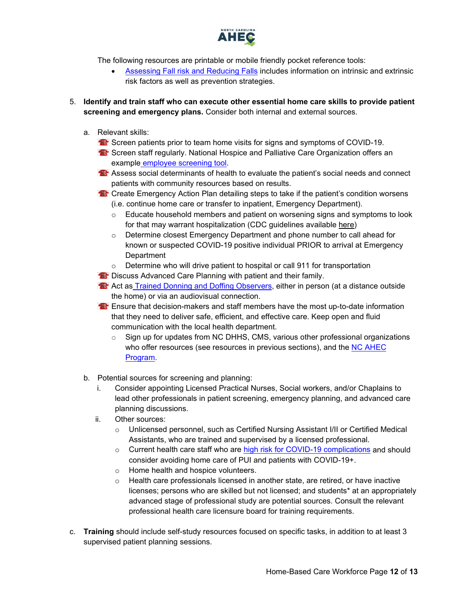

The following resources are printable or mobile friendly pocket reference tools:

- [Assessing Fall risk and Reducing Falls](https://www.nursingcenter.com/clinical-resources/nursing-pocket-cards/assessing-fall-risk-and-reducing-falls) includes information on intrinsic and extrinsic risk factors as well as prevention strategies.
- <span id="page-11-0"></span>5. **Identify and train staff who can execute other essential home care skills to provide patient screening and emergency plans.** Consider both internal and external sources.
	- a. Relevant skills:
		- Screen patients prior to team home visits for signs and symptoms of COVID-19.
		- **S** Screen staff regularly. National Hospice and Palliative Care Organization offers an example [employee screening tool.](https://www.nhpco.org/wp-content/uploads/COVID-19-Employee-Screening-Tool.pdf)
		- **<sup>23</sup>** Assess social determinants of health to evaluate the patient's social needs and connect patients with community resources based on results.
		- **Create Emergency Action Plan detailing steps to take if the patient's condition worsens** (i.e. continue home care or transfer to inpatient, Emergency Department).
			- $\circ$  Educate household members and patient on worsening signs and symptoms to look for that may warrant hospitalization (CDC guidelines available [here\)](https://www.cdc.gov/coronavirus/2019-ncov/if-you-are-sick/care-for-someone.html)
			- $\circ$  Determine closest Emergency Department and phone number to call ahead for known or suspected COVID-19 positive individual PRIOR to arrival at Emergency **Department**
			- Determine who will drive patient to hospital or call 911 for transportation
		- **<sup>2</sup>** Discuss Advanced Care Planning with patient and their family.
		- **23** Act as [Trained Donning and Doffing Observers,](https://www.cdc.gov/vhf/ebola/hcp/ppe-training/trained-observer/observer_01.html) either in person (at a distance outside the home) or via an audiovisual connection.

Ensure that decision-makers and staff members have the most up-to-date information that they need to deliver safe, efficient, and effective care. Keep open and fluid communication with the local health department.

- $\circ$  Sign up for updates from NC DHHS, CMS, various other professional organizations who offer resources (see resources in previous sections), and the NC AHEC [Program.](https://www.ncahec.net/covid-19/webinars/)
- b. Potential sources for screening and planning:
	- i. Consider appointing Licensed Practical Nurses, Social workers, and/or Chaplains to lead other professionals in patient screening, emergency planning, and advanced care planning discussions.
	- ii. Other sources:
		- o Unlicensed personnel, such as Certified Nursing Assistant I/II or Certified Medical Assistants, who are trained and supervised by a licensed professional.
		- $\circ$  Current health care staff who are [high risk for COVID-19 complications](https://www.cdc.gov/coronavirus/2019-ncov/need-extra-precautions/people-at-higher-risk.html) and should consider avoiding home care of PUI and patients with COVID-19+.
		- o Home health and hospice volunteers.
		- $\circ$  Health care professionals licensed in another state, are retired, or have inactive licenses; persons who are skilled but not licensed; and students\* at an appropriately advanced stage of professional study are potential sources. Consult the relevant professional health care licensure board for training requirements.
- c. **Training** should include self-study resources focused on specific tasks, in addition to at least 3 supervised patient planning sessions.